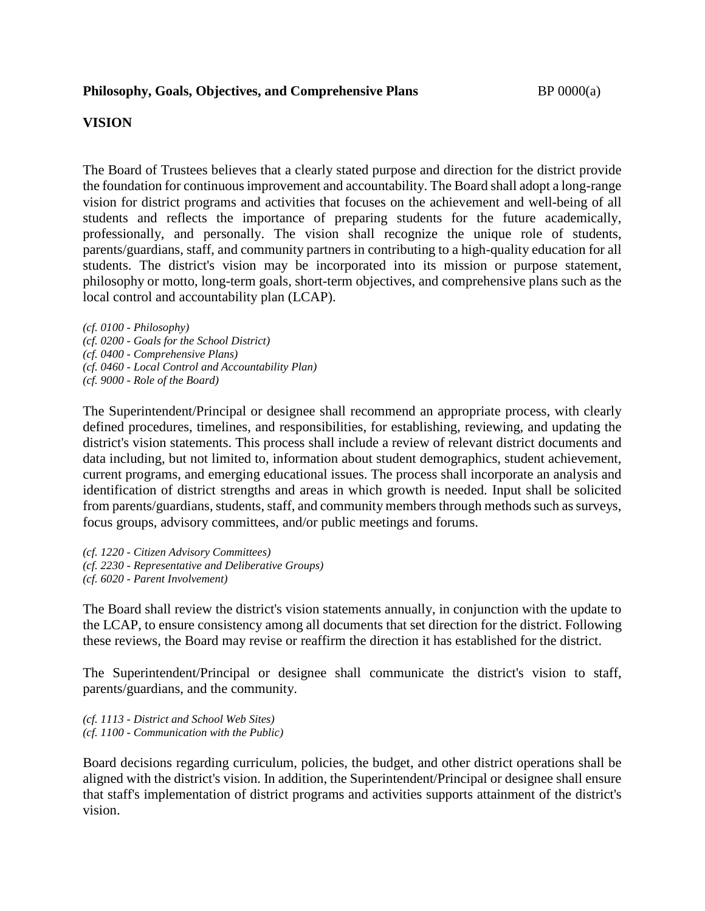## **VISION**

The Board of Trustees believes that a clearly stated purpose and direction for the district provide the foundation for continuous improvement and accountability. The Board shall adopt a long-range vision for district programs and activities that focuses on the achievement and well-being of all students and reflects the importance of preparing students for the future academically, professionally, and personally. The vision shall recognize the unique role of students, parents/guardians, staff, and community partners in contributing to a high-quality education for all students. The district's vision may be incorporated into its mission or purpose statement, philosophy or motto, long-term goals, short-term objectives, and comprehensive plans such as the local control and accountability plan (LCAP).

*(cf. 0100 - Philosophy) (cf. 0200 - Goals for the School District) (cf. 0400 - Comprehensive Plans) (cf. 0460 - Local Control and Accountability Plan) (cf. 9000 - Role of the Board)*

The Superintendent/Principal or designee shall recommend an appropriate process, with clearly defined procedures, timelines, and responsibilities, for establishing, reviewing, and updating the district's vision statements. This process shall include a review of relevant district documents and data including, but not limited to, information about student demographics, student achievement, current programs, and emerging educational issues. The process shall incorporate an analysis and identification of district strengths and areas in which growth is needed. Input shall be solicited from parents/guardians, students, staff, and community members through methods such as surveys, focus groups, advisory committees, and/or public meetings and forums.

*(cf. 1220 - Citizen Advisory Committees) (cf. 2230 - Representative and Deliberative Groups) (cf. 6020 - Parent Involvement)*

The Board shall review the district's vision statements annually, in conjunction with the update to the LCAP, to ensure consistency among all documents that set direction for the district. Following these reviews, the Board may revise or reaffirm the direction it has established for the district.

The Superintendent/Principal or designee shall communicate the district's vision to staff, parents/guardians, and the community.

*(cf. 1113 - District and School Web Sites) (cf. 1100 - Communication with the Public)*

Board decisions regarding curriculum, policies, the budget, and other district operations shall be aligned with the district's vision. In addition, the Superintendent/Principal or designee shall ensure that staff's implementation of district programs and activities supports attainment of the district's vision.